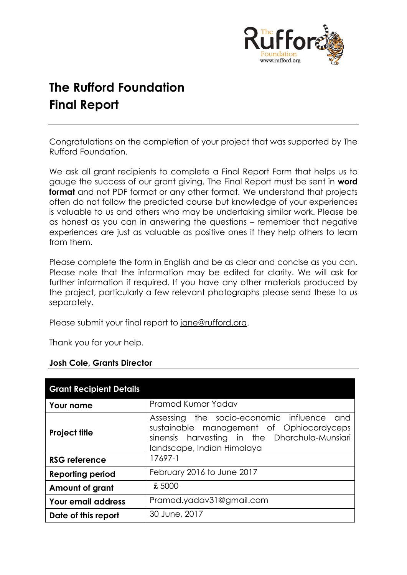

# **The Rufford Foundation Final Report**

Congratulations on the completion of your project that was supported by The Rufford Foundation.

We ask all grant recipients to complete a Final Report Form that helps us to gauge the success of our grant giving. The Final Report must be sent in **word format** and not PDF format or any other format. We understand that projects often do not follow the predicted course but knowledge of your experiences is valuable to us and others who may be undertaking similar work. Please be as honest as you can in answering the questions – remember that negative experiences are just as valuable as positive ones if they help others to learn from them.

Please complete the form in English and be as clear and concise as you can. Please note that the information may be edited for clarity. We will ask for further information if required. If you have any other materials produced by the project, particularly a few relevant photographs please send these to us separately.

Please submit your final report to [jane@rufford.org.](mailto:jane@rufford.org)

Thank you for your help.

| <b>Grant Recipient Details</b> |                                                                                                                                                                          |  |  |  |  |  |
|--------------------------------|--------------------------------------------------------------------------------------------------------------------------------------------------------------------------|--|--|--|--|--|
| <b>Your name</b>               | Pramod Kumar Yadav                                                                                                                                                       |  |  |  |  |  |
| <b>Project title</b>           | Assessing the socio-economic influence<br>and<br>sustainable management of Ophiocordyceps<br>sinensis harvesting in the Dharchula-Munsiari<br>landscape, Indian Himalaya |  |  |  |  |  |
| <b>RSG reference</b>           | 17697-1                                                                                                                                                                  |  |  |  |  |  |
| <b>Reporting period</b>        | February 2016 to June 2017                                                                                                                                               |  |  |  |  |  |
| Amount of grant                | £5000                                                                                                                                                                    |  |  |  |  |  |
| <b>Your email address</b>      | Pramod.yadav31@gmail.com                                                                                                                                                 |  |  |  |  |  |
| Date of this report            | 30 June, 2017                                                                                                                                                            |  |  |  |  |  |

# **Josh Cole, Grants Director**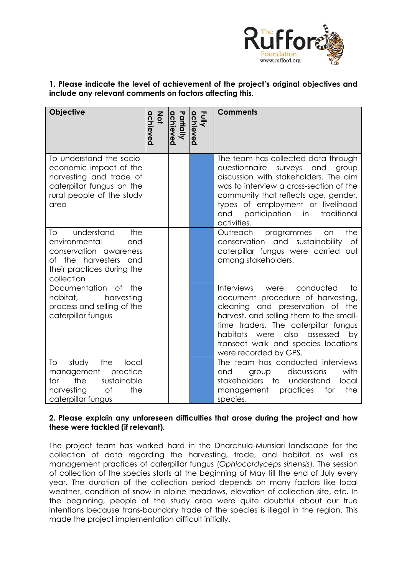

## **1. Please indicate the level of achievement of the project's original objectives and include any relevant comments on factors affecting this.**

| <b>Objective</b>                                                                                                                                  | achieved<br>$rac{2}{9}$ | Partially<br>achieved | Fully<br>achieved | <b>Comments</b>                                                                                                                                                                                                                                                                                               |
|---------------------------------------------------------------------------------------------------------------------------------------------------|-------------------------|-----------------------|-------------------|---------------------------------------------------------------------------------------------------------------------------------------------------------------------------------------------------------------------------------------------------------------------------------------------------------------|
| To understand the socio-<br>economic impact of the<br>harvesting and trade of<br>caterpillar fungus on the<br>rural people of the study<br>area   |                         |                       |                   | The team has collected data through<br>questionnaire surveys and<br>group<br>discussion with stakeholders. The aim<br>was to interview a cross-section of the<br>community that reflects age, gender,<br>types of employment or livelihood<br>participation<br>traditional<br>and<br>in<br>activities.        |
| understand<br>the<br>To<br>environmental<br>and<br>conservation awareness<br>of the harvesters<br>and<br>their practices during the<br>collection |                         |                       |                   | Outreach<br>programmes<br>the<br>on<br>conservation and sustainability<br>of<br>caterpillar fungus were carried out<br>among stakeholders.                                                                                                                                                                    |
| Documentation<br>of<br>the<br>harvesting<br>habitat,<br>process and selling of the<br>caterpillar fungus                                          |                         |                       |                   | Interviews<br>conducted<br>were<br>to.<br>document procedure of harvesting,<br>cleaning and preservation of the<br>harvest, and selling them to the small-<br>time traders. The caterpillar fungus<br>habitats<br>also assessed<br>were<br>by<br>transect walk and species locations<br>were recorded by GPS. |
| the<br>study<br>local<br>To<br>management<br>practice<br>for<br>the<br>sustainable<br>harvesting<br><b>of</b><br>the<br>caterpillar fungus        |                         |                       |                   | The team has conducted interviews<br>discussions<br>with<br>group<br>and<br>stakeholders<br>to<br>understand<br>local<br>practices<br>the<br>management<br>for<br>species.                                                                                                                                    |

## **2. Please explain any unforeseen difficulties that arose during the project and how these were tackled (if relevant).**

The project team has worked hard in the Dharchula-Munsiari landscape for the collection of data regarding the harvesting, trade, and habitat as well as management practices of caterpillar fungus (*Ophiocordyceps sinensis*). The session of collection of the species starts at the beginning of May till the end of July every year. The duration of the collection period depends on many factors like local weather, condition of snow in alpine meadows, elevation of collection site, etc. In the beginning, people of the study area were quite doubtful about our true intentions because trans-boundary trade of the species is illegal in the region. This made the project implementation difficult initially.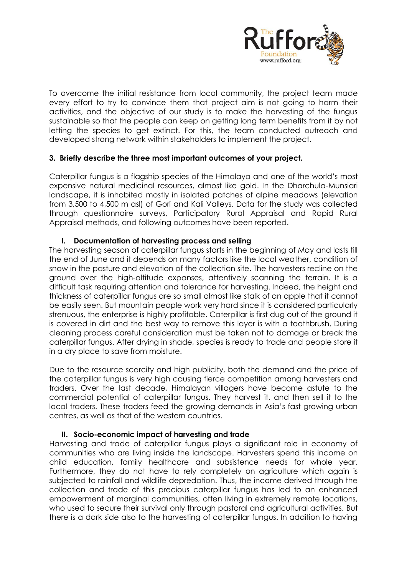

To overcome the initial resistance from local community, the project team made every effort to try to convince them that project aim is not going to harm their activities, and the objective of our study is to make the harvesting of the fungus sustainable so that the people can keep on getting long term benefits from it by not letting the species to get extinct. For this, the team conducted outreach and developed strong network within stakeholders to implement the project.

## **3. Briefly describe the three most important outcomes of your project.**

Caterpillar fungus is a flagship species of the Himalaya and one of the world's most expensive natural medicinal resources, almost like gold. In the Dharchula-Munsiari landscape, it is inhabited mostly in isolated patches of alpine meadows (elevation from 3,500 to 4,500 m asl) of Gori and Kali Valleys. Data for the study was collected through questionnaire surveys, Participatory Rural Appraisal and Rapid Rural Appraisal methods, and following outcomes have been reported.

## **I. Documentation of harvesting process and selling**

The harvesting season of caterpillar fungus starts in the beginning of May and lasts till the end of June and it depends on many factors like the local weather, condition of snow in the pasture and elevation of the collection site. The harvesters recline on the ground over the high-altitude expanses, attentively scanning the terrain. It is a difficult task requiring attention and tolerance for harvesting. Indeed, the height and thickness of caterpillar fungus are so small almost like stalk of an apple that it cannot be easily seen. But mountain people work very hard since it is considered particularly strenuous, the enterprise is highly profitable. Caterpillar is first dug out of the ground it is covered in dirt and the best way to remove this layer is with a toothbrush. During cleaning process careful consideration must be taken not to damage or break the caterpillar fungus. After drying in shade, species is ready to trade and people store it in a dry place to save from moisture.

Due to the resource scarcity and high publicity, both the demand and the price of the caterpillar fungus is very high causing fierce competition among harvesters and traders. Over the last decade, Himalayan villagers have become astute to the commercial potential of caterpillar fungus. They harvest it, and then sell it to the local traders. These traders feed the growing demands in Asia's fast growing urban centres, as well as that of the western countries.

#### **II. Socio-economic impact of harvesting and trade**

Harvesting and trade of caterpillar fungus plays a significant role in economy of communities who are living inside the landscape. Harvesters spend this income on child education, family healthcare and subsistence needs for whole year. Furthermore, they do not have to rely completely on agriculture which again is subjected to rainfall and wildlife depredation. Thus, the income derived through the collection and trade of this precious caterpillar fungus has led to an enhanced empowerment of marginal communities, often living in extremely remote locations, who used to secure their survival only through pastoral and agricultural activities. But there is a dark side also to the harvesting of caterpillar fungus. In addition to having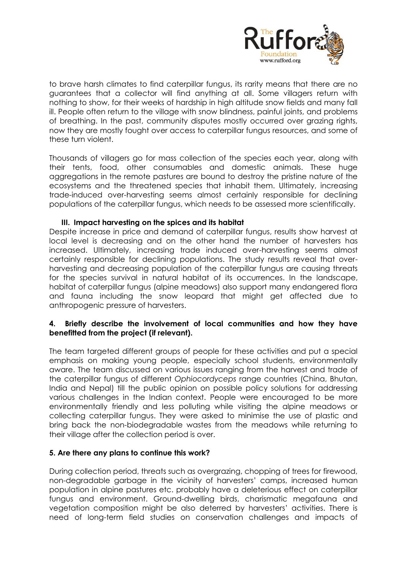

to brave harsh climates to find caterpillar fungus, its rarity means that there are no guarantees that a collector will find anything at all. Some villagers return with nothing to show, for their weeks of hardship in high altitude snow fields and many fall ill. People often return to the village with snow blindness, painful joints, and problems of breathing. In the past, community disputes mostly occurred over grazing rights, now they are mostly fought over access to caterpillar fungus resources, and some of these turn violent.

Thousands of villagers go for mass collection of the species each year, along with their tents, food, other consumables and domestic animals. These huge aggregations in the remote pastures are bound to destroy the pristine nature of the ecosystems and the threatened species that inhabit them. Ultimately, increasing trade-induced over-harvesting seems almost certainly responsible for declining populations of the caterpillar fungus, which needs to be assessed more scientifically.

#### **III. Impact harvesting on the spices and its habitat**

Despite increase in price and demand of caterpillar fungus, results show harvest at local level is decreasing and on the other hand the number of harvesters has increased. Ultimately, increasing trade induced over-harvesting seems almost certainly responsible for declining populations. The study results reveal that overharvesting and decreasing population of the caterpillar fungus are causing threats for the species survival in natural habitat of its occurrences. In the landscape, habitat of caterpillar fungus (alpine meadows) also support many endangered flora and fauna including the snow leopard that might get affected due to anthropogenic pressure of harvesters.

## **4. Briefly describe the involvement of local communities and how they have benefitted from the project (if relevant).**

The team targeted different groups of people for these activities and put a special emphasis on making young people, especially school students, environmentally aware. The team discussed on various issues ranging from the harvest and trade of the caterpillar fungus of different *Ophiocordyceps* range countries (China, Bhutan, India and Nepal) till the public opinion on possible policy solutions for addressing various challenges in the Indian context. People were encouraged to be more environmentally friendly and less polluting while visiting the alpine meadows or collecting caterpillar fungus. They were asked to minimise the use of plastic and bring back the non-biodegradable wastes from the meadows while returning to their village after the collection period is over.

#### **5. Are there any plans to continue this work?**

During collection period, threats such as overgrazing, chopping of trees for firewood, non-degradable garbage in the vicinity of harvesters' camps, increased human population in alpine pastures etc. probably have a deleterious effect on caterpillar fungus and environment. Ground-dwelling birds, charismatic megafauna and vegetation composition might be also deterred by harvesters' activities. There is need of long-term field studies on conservation challenges and impacts of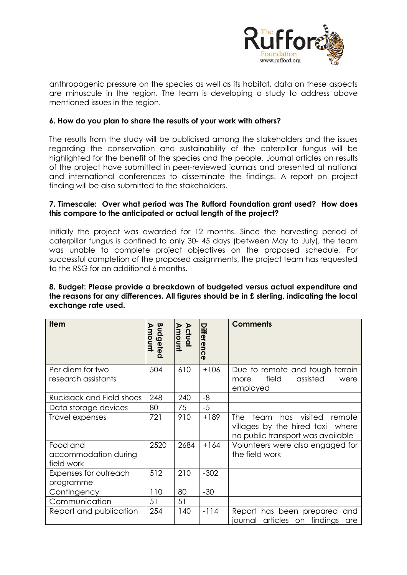

anthropogenic pressure on the species as well as its habitat, data on these aspects are minuscule in the region. The team is developing a study to address above mentioned issues in the region.

## **6. How do you plan to share the results of your work with others?**

The results from the study will be publicised among the stakeholders and the issues regarding the conservation and sustainability of the caterpillar fungus will be highlighted for the benefit of the species and the people. Journal articles on results of the project have submitted in peer-reviewed journals and presented at national and international conferences to disseminate the findings. A report on project finding will be also submitted to the stakeholders.

#### **7. Timescale: Over what period was The Rufford Foundation grant used? How does this compare to the anticipated or actual length of the project?**

Initially the project was awarded for 12 months. Since the harvesting period of caterpillar fungus is confined to only 30- 45 days (between May to July), the team was unable to complete project objectives on the proposed schedule. For successful completion of the proposed assignments, the project team has requested to the RSG for an additional 6 months.

#### **8. Budget: Please provide a breakdown of budgeted versus actual expenditure and the reasons for any differences. All figures should be in £ sterling, indicating the local exchange rate used.**

| <b>Item</b>                                    | Budgeted<br>moum | <b>Actual</b><br>Amount | <b>Differenc</b><br>$\mathbf \sigma$ | <b>Comments</b>                                                                                                 |
|------------------------------------------------|------------------|-------------------------|--------------------------------------|-----------------------------------------------------------------------------------------------------------------|
| Per diem for two<br>research assistants        | 504              | 610                     | $+106$                               | Due to remote and tough terrain<br>field<br>assisted<br>were<br>more<br>employed                                |
| Rucksack and Field shoes                       | 248              | 240                     | -8                                   |                                                                                                                 |
| Data storage devices                           | 80               | 75                      | $-5$                                 |                                                                                                                 |
| Travel expenses                                | 721              | 910                     | $+189$                               | has visited<br>team<br>remote<br>The I<br>villages by the hired taxi where<br>no public transport was available |
| Food and<br>accommodation during<br>field work | 2520             | 2684                    | $+164$                               | Volunteers were also engaged for<br>the field work                                                              |
| Expenses for outreach<br>programme             | 512              | 210                     | $-302$                               |                                                                                                                 |
| Contingency                                    | 110              | 80                      | $-30$                                |                                                                                                                 |
| Communication                                  | 51               | 51                      |                                      |                                                                                                                 |
| Report and publication                         | 254              | 140                     | $-114$                               | Report has been prepared<br>and<br>articles on findings<br>journal<br>are                                       |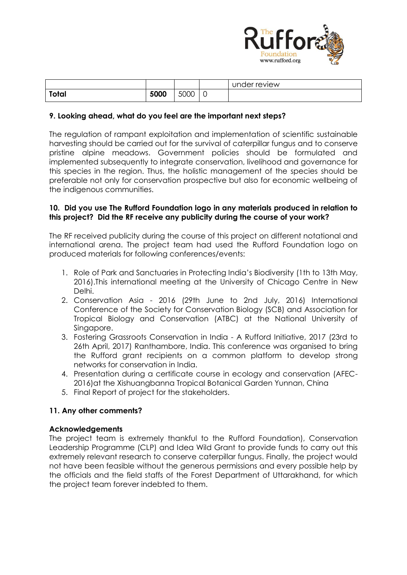

|       |      |      |        | under review |
|-------|------|------|--------|--------------|
| Total | 5000 | 5000 | ∽<br>◡ |              |

## **9. Looking ahead, what do you feel are the important next steps?**

The regulation of rampant exploitation and implementation of scientific sustainable harvesting should be carried out for the survival of caterpillar fungus and to conserve pristine alpine meadows. Government policies should be formulated and implemented subsequently to integrate conservation, livelihood and governance for this species in the region. Thus, the holistic management of the species should be preferable not only for conservation prospective but also for economic wellbeing of the indigenous communities.

#### **10. Did you use The Rufford Foundation logo in any materials produced in relation to this project? Did the RF receive any publicity during the course of your work?**

The RF received publicity during the course of this project on different notational and international arena. The project team had used the Rufford Foundation logo on produced materials for following conferences/events:

- 1. Role of Park and Sanctuaries in Protecting India's Biodiversity (1th to 13th May, 2016).This international meeting at the University of Chicago Centre in New Delhi.
- 2. Conservation Asia 2016 (29th June to 2nd July, 2016) International Conference of the Society for Conservation Biology (SCB) and Association for Tropical Biology and Conservation (ATBC) at the National University of Singapore.
- 3. Fostering Grassroots Conservation in India A Rufford Initiative, 2017 (23rd to 26th April, 2017) Ranthambore, India. This conference was organised to bring the Rufford grant recipients on a common platform to develop strong networks for conservation in India.
- 4. Presentation during a certificate course in ecology and conservation (AFEC-2016)at the Xishuangbanna Tropical Botanical Garden Yunnan, China
- 5. Final Report of project for the stakeholders.

## **11. Any other comments?**

#### **Acknowledgements**

The project team is extremely thankful to the Rufford Foundation), Conservation Leadership Programme (CLP) and Idea Wild Grant to provide funds to carry out this extremely relevant research to conserve caterpillar fungus. Finally, the project would not have been feasible without the generous permissions and every possible help by the officials and the field staffs of the Forest Department of Uttarakhand, for which the project team forever indebted to them.